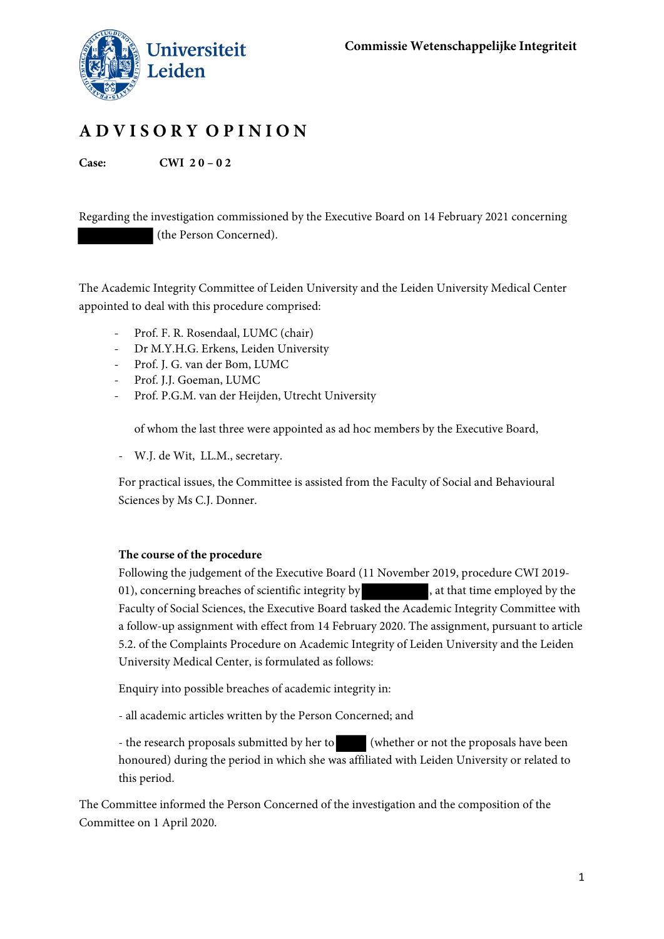

# **A D V I S O R Y O P I N I O N**

**Case: CWI 2 0 – 0 2**

Regarding the investigation commissioned by the Executive Board on 14 February 2021 concerning (the Person Concerned).

The Academic Integrity Committee of Leiden University and the Leiden University Medical Center appointed to deal with this procedure comprised:

- Prof. F. R. Rosendaal, LUMC (chair)
- Dr M.Y.H.G. Erkens, Leiden University
- Prof. J. G. van der Bom, LUMC
- Prof. J.J. Goeman, LUMC
- Prof. P.G.M. van der Heijden, Utrecht University

of whom the last three were appointed as ad hoc members by the Executive Board,

- W.J. de Wit, LL.M., secretary.

For practical issues, the Committee is assisted from the Faculty of Social and Behavioural Sciences by Ms C.J. Donner.

## **The course of the procedure**

Following the judgement of the Executive Board (11 November 2019, procedure CWI 2019- 01), concerning breaches of scientific integrity by , at that time employed by the Faculty of Social Sciences, the Executive Board tasked the Academic Integrity Committee with a follow-up assignment with effect from 14 February 2020. The assignment, pursuant to article 5.2. of the Complaints Procedure on Academic Integrity of Leiden University and the Leiden University Medical Center, is formulated as follows:

Enquiry into possible breaches of academic integrity in:

- all academic articles written by the Person Concerned; and

- the research proposals submitted by her to (whether or not the proposals have been honoured) during the period in which she was affiliated with Leiden University or related to this period.

The Committee informed the Person Concerned of the investigation and the composition of the Committee on 1 April 2020.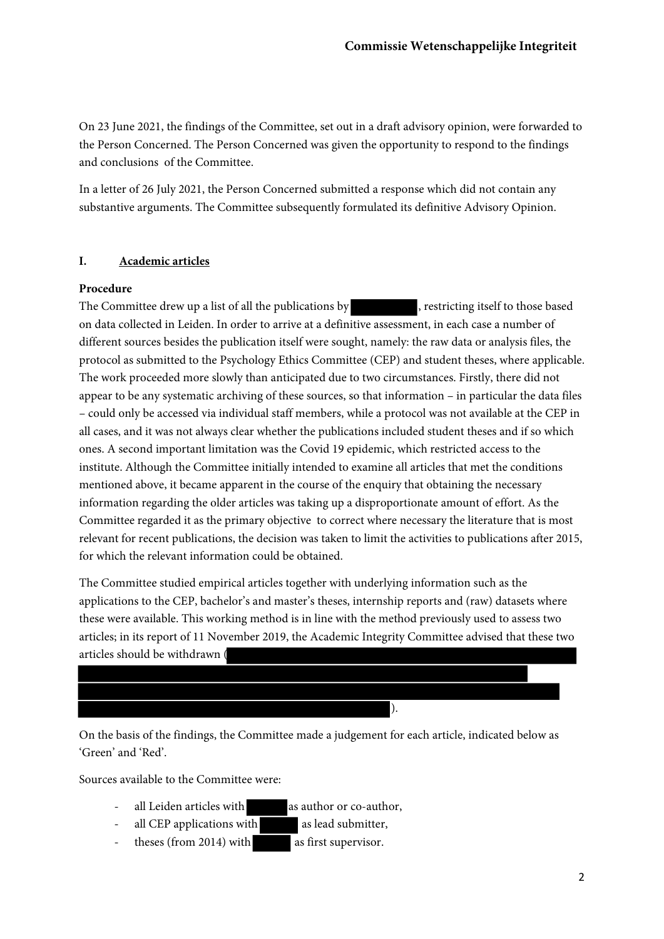On 23 June 2021, the findings of the Committee, set out in a draft advisory opinion, were forwarded to the Person Concerned. The Person Concerned was given the opportunity to respond to the findings and conclusions of the Committee.

In a letter of 26 July 2021, the Person Concerned submitted a response which did not contain any substantive arguments. The Committee subsequently formulated its definitive Advisory Opinion.

# **I. Academic articles**

# **Procedure**

The Committee drew up a list of all the publications by , restricting itself to those based on data collected in Leiden. In order to arrive at a definitive assessment, in each case a number of different sources besides the publication itself were sought, namely: the raw data or analysis files, the protocol as submitted to the Psychology Ethics Committee (CEP) and student theses, where applicable. The work proceeded more slowly than anticipated due to two circumstances. Firstly, there did not appear to be any systematic archiving of these sources, so that information – in particular the data files – could only be accessed via individual staff members, while a protocol was not available at the CEP in all cases, and it was not always clear whether the publications included student theses and if so which ones. A second important limitation was the Covid 19 epidemic, which restricted access to the institute. Although the Committee initially intended to examine all articles that met the conditions mentioned above, it became apparent in the course of the enquiry that obtaining the necessary information regarding the older articles was taking up a disproportionate amount of effort. As the Committee regarded it as the primary objective to correct where necessary the literature that is most relevant for recent publications, the decision was taken to limit the activities to publications after 2015, for which the relevant information could be obtained.

The Committee studied empirical articles together with underlying information such as the applications to the CEP, bachelor's and master's theses, internship reports and (raw) datasets where these were available. This working method is in line with the method previously used to assess two articles; in its report of 11 November 2019, the Academic Integrity Committee advised that these two articles should be withdrawn (



On the basis of the findings, the Committee made a judgement for each article, indicated below as 'Green' and 'Red'.

Sources available to the Committee were:

- all Leiden articles with as author or co-author,
- all CEP applications with as lead submitter,
- theses (from 2014) with as first supervisor.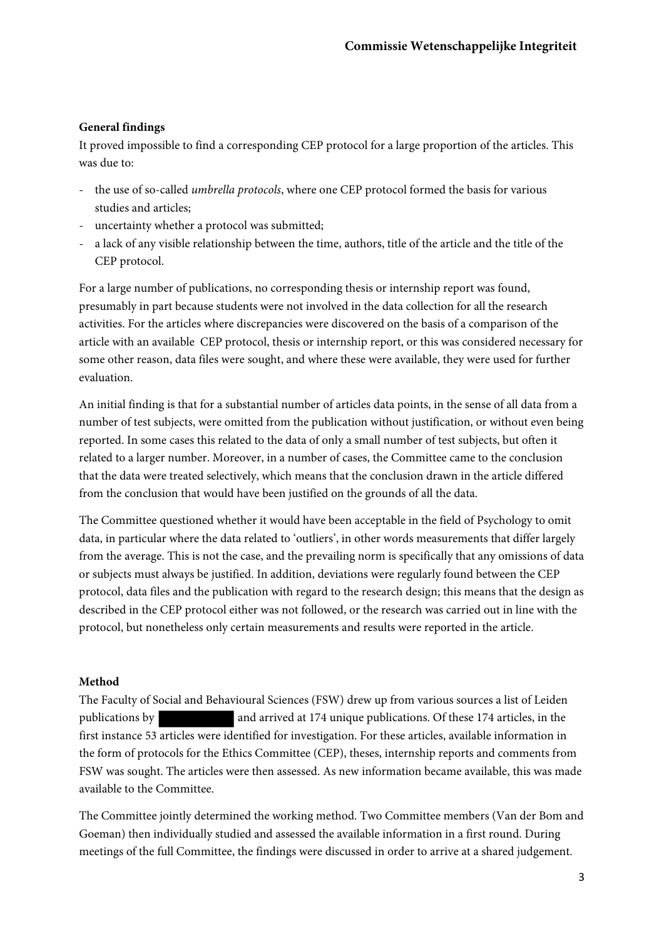# **General findings**

It proved impossible to find a corresponding CEP protocol for a large proportion of the articles. This was due to:

- the use of so-called *umbrella protocols*, where one CEP protocol formed the basis for various studies and articles;
- uncertainty whether a protocol was submitted;
- a lack of any visible relationship between the time, authors, title of the article and the title of the CEP protocol.

For a large number of publications, no corresponding thesis or internship report was found, presumably in part because students were not involved in the data collection for all the research activities. For the articles where discrepancies were discovered on the basis of a comparison of the article with an available CEP protocol, thesis or internship report, or this was considered necessary for some other reason, data files were sought, and where these were available, they were used for further evaluation.

An initial finding is that for a substantial number of articles data points, in the sense of all data from a number of test subjects, were omitted from the publication without justification, or without even being reported. In some cases this related to the data of only a small number of test subjects, but often it related to a larger number. Moreover, in a number of cases, the Committee came to the conclusion that the data were treated selectively, which means that the conclusion drawn in the article differed from the conclusion that would have been justified on the grounds of all the data.

The Committee questioned whether it would have been acceptable in the field of Psychology to omit data, in particular where the data related to 'outliers', in other words measurements that differ largely from the average. This is not the case, and the prevailing norm is specifically that any omissions of data or subjects must always be justified. In addition, deviations were regularly found between the CEP protocol, data files and the publication with regard to the research design; this means that the design as described in the CEP protocol either was not followed, or the research was carried out in line with the protocol, but nonetheless only certain measurements and results were reported in the article.

#### **Method**

The Faculty of Social and Behavioural Sciences (FSW) drew up from various sources a list of Leiden publications by and arrived at 174 unique publications. Of these 174 articles, in the first instance 53 articles were identified for investigation. For these articles, available information in the form of protocols for the Ethics Committee (CEP), theses, internship reports and comments from FSW was sought. The articles were then assessed. As new information became available, this was made available to the Committee.

The Committee jointly determined the working method. Two Committee members (Van der Bom and Goeman) then individually studied and assessed the available information in a first round. During meetings of the full Committee, the findings were discussed in order to arrive at a shared judgement.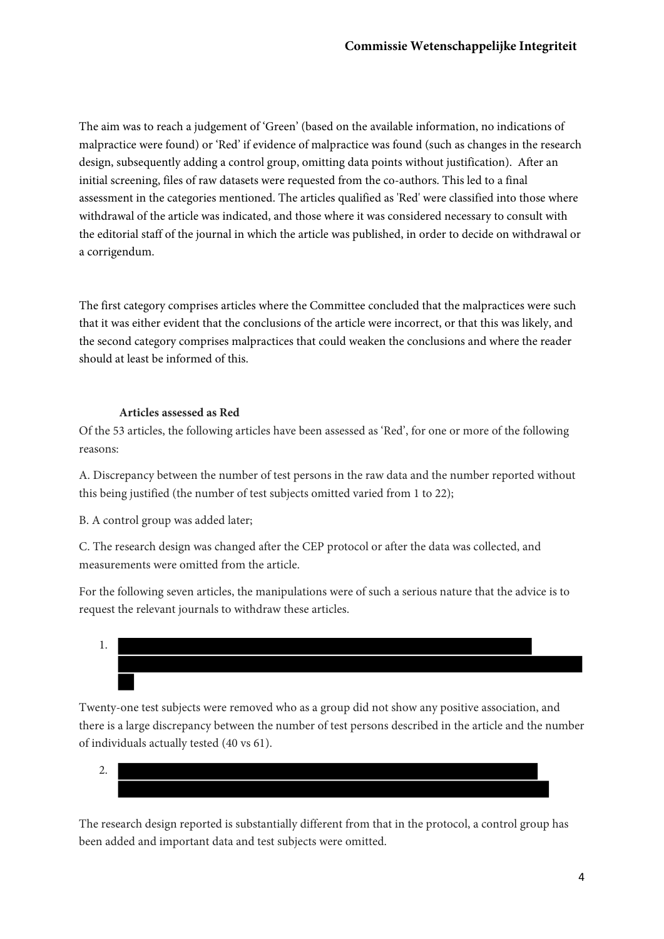The aim was to reach a judgement of 'Green' (based on the available information, no indications of malpractice were found) or 'Red' if evidence of malpractice was found (such as changes in the research design, subsequently adding a control group, omitting data points without justification). After an initial screening, files of raw datasets were requested from the co-authors. This led to a final assessment in the categories mentioned. The articles qualified as 'Red' were classified into those where withdrawal of the article was indicated, and those where it was considered necessary to consult with the editorial staff of the journal in which the article was published, in order to decide on withdrawal or a corrigendum.

The first category comprises articles where the Committee concluded that the malpractices were such that it was either evident that the conclusions of the article were incorrect, or that this was likely, and the second category comprises malpractices that could weaken the conclusions and where the reader should at least be informed of this.

## **Articles assessed as Red**

Of the 53 articles, the following articles have been assessed as 'Red', for one or more of the following reasons:

A. Discrepancy between the number of test persons in the raw data and the number reported without this being justified (the number of test subjects omitted varied from 1 to 22);

B. A control group was added later;

C. The research design was changed after the CEP protocol or after the data was collected, and measurements were omitted from the article.

For the following seven articles, the manipulations were of such a serious nature that the advice is to request the relevant journals to withdraw these articles.

1.

Twenty-one test subjects were removed who as a group did not show any positive association, and there is a large discrepancy between the number of test persons described in the article and the number of individuals actually tested (40 vs 61).

2.

The research design reported is substantially different from that in the protocol, a control group has been added and important data and test subjects were omitted.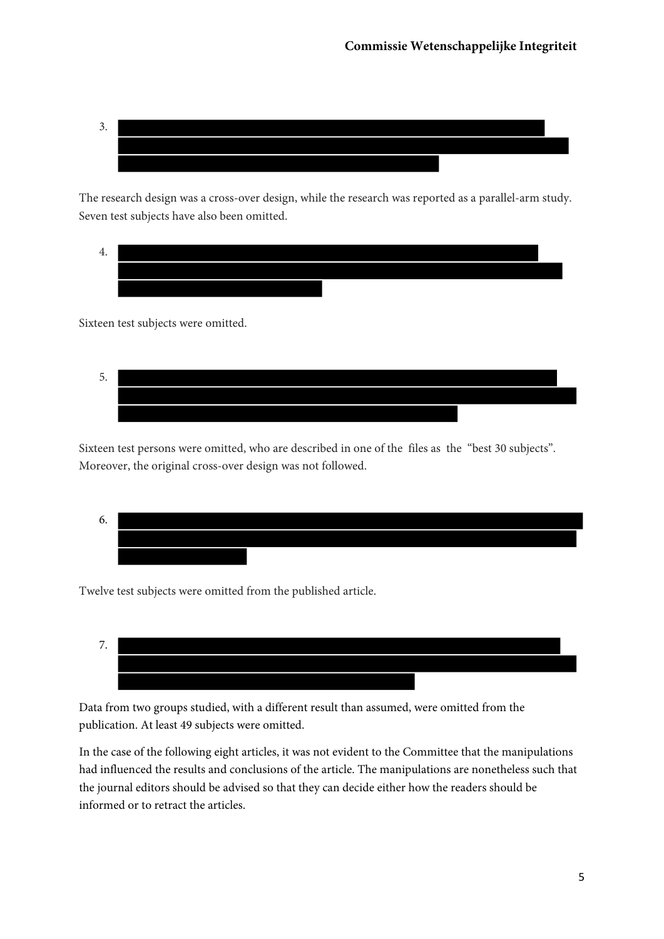

The research design was a cross-over design, while the research was reported as a parallel-arm study. Seven test subjects have also been omitted.

4.

Sixteen test subjects were omitted.



Sixteen test persons were omitted, who are described in one of the files as the "best 30 subjects". Moreover, the original cross-over design was not followed.



Twelve test subjects were omitted from the published article.



Data from two groups studied, with a different result than assumed, were omitted from the publication. At least 49 subjects were omitted.

In the case of the following eight articles, it was not evident to the Committee that the manipulations had influenced the results and conclusions of the article. The manipulations are nonetheless such that the journal editors should be advised so that they can decide either how the readers should be informed or to retract the articles.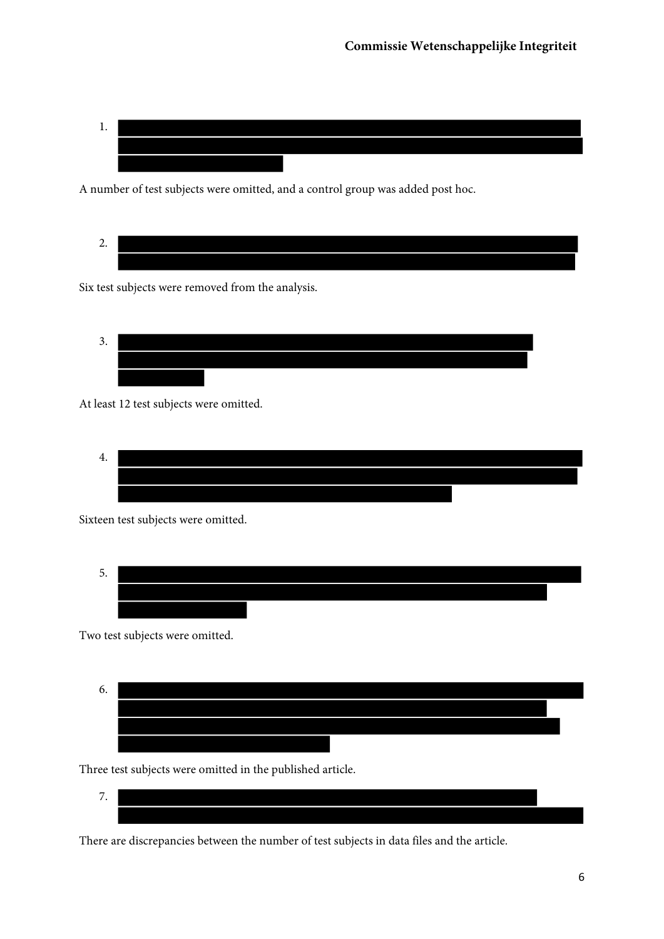

A number of test subjects were omitted, and a control group was added post hoc.

2.

Six test subjects were removed from the analysis.

$$
\begin{array}{c}\n3. \\
\hline\n\end{array}
$$

At least 12 test subjects were omitted.

4.

Sixteen test subjects were omitted.

$$
\begin{array}{c}\n5. \\
\hline\n\end{array}
$$

Two test subjects were omitted.



Three test subjects were omitted in the published article.

$$
\overline{\phantom{a}}\qquad \qquad
$$

There are discrepancies between the number of test subjects in data files and the article.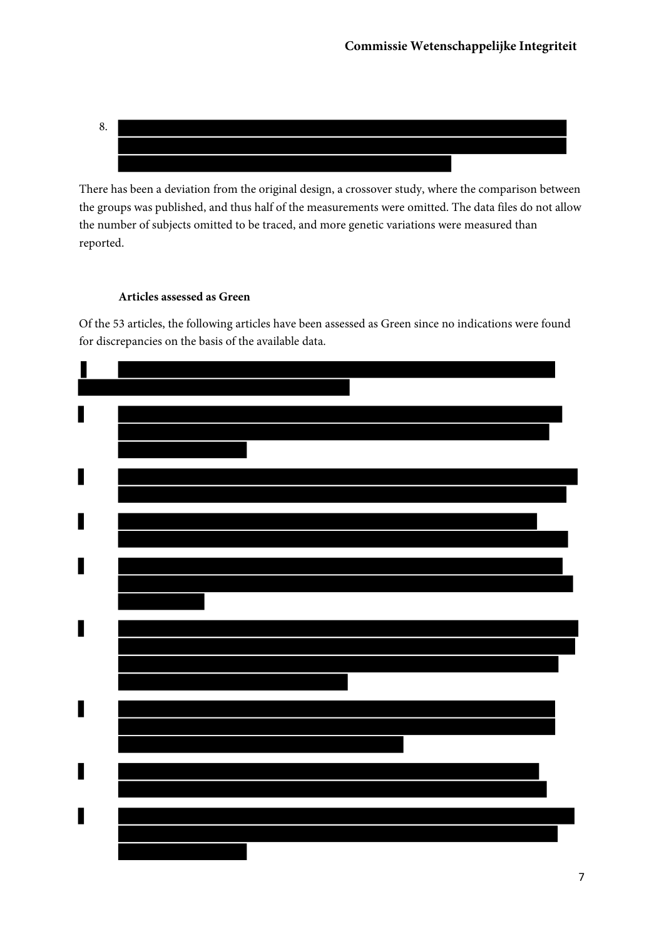

There has been a deviation from the original design, a crossover study, where the comparison between the groups was published, and thus half of the measurements were omitted. The data files do not allow the number of subjects omitted to be traced, and more genetic variations were measured than reported.

# **Articles assessed as Green**

Of the 53 articles, the following articles have been assessed as Green since no indications were found for discrepancies on the basis of the available data.

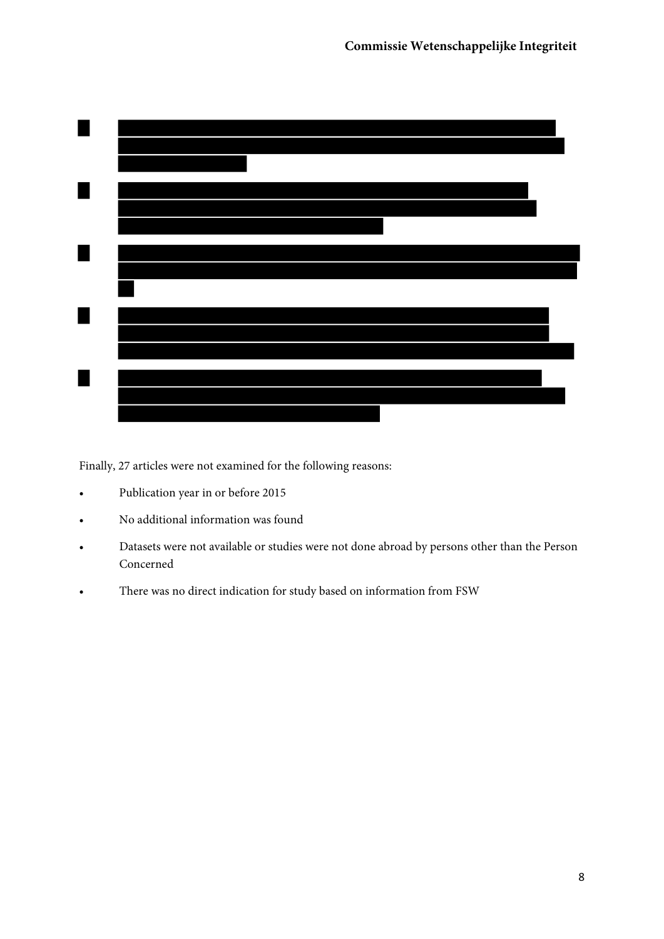

Finally, 27 articles were not examined for the following reasons:

- Publication year in or before 2015
- No additional information was found
- Datasets were not available or studies were not done abroad by persons other than the Person Concerned
- There was no direct indication for study based on information from FSW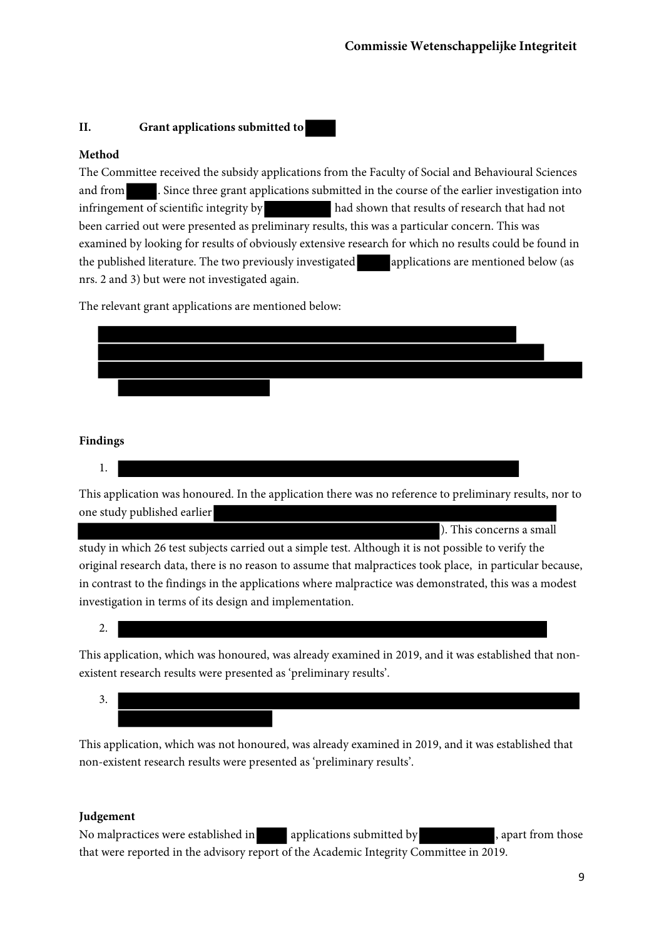## **II. Grant applications submitted to**

# **Method**

The Committee received the subsidy applications from the Faculty of Social and Behavioural Sciences and from . Since three grant applications submitted in the course of the earlier investigation into infringement of scientific integrity by had shown that results of research that had not been carried out were presented as preliminary results, this was a particular concern. This was examined by looking for results of obviously extensive research for which no results could be found in the published literature. The two previously investigated applications are mentioned below (as nrs. 2 and 3) but were not investigated again.

The relevant grant applications are mentioned below:



# **Findings**

1.

This application was honoured. In the application there was no reference to preliminary results, nor to one study published earlier

). This concerns a small study in which 26 test subjects carried out a simple test. Although it is not possible to verify the original research data, there is no reason to assume that malpractices took place, in particular because, in contrast to the findings in the applications where malpractice was demonstrated, this was a modest investigation in terms of its design and implementation.

2.

This application, which was honoured, was already examined in 2019, and it was established that nonexistent research results were presented as 'preliminary results'.

3.

This application, which was not honoured, was already examined in 2019, and it was established that non-existent research results were presented as 'preliminary results'.

#### **Judgement**

No malpractices were established in applications submitted by , apart from those that were reported in the advisory report of the Academic Integrity Committee in 2019.